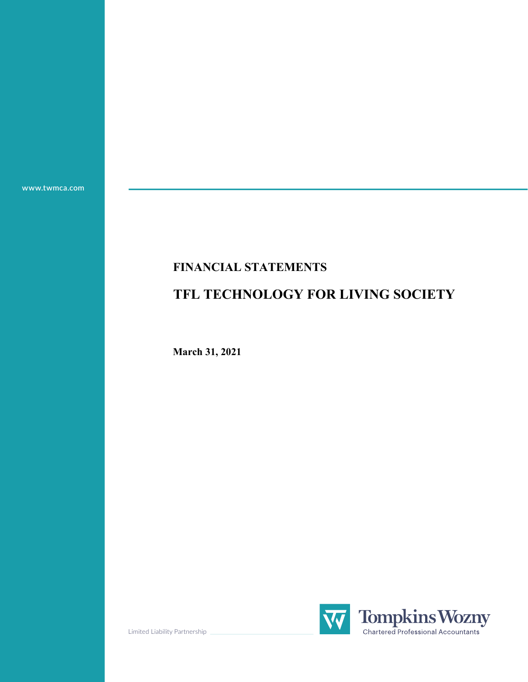**www.twmca.com**

# **FINANCIAL STATEMENTS**

# **TFL TECHNOLOGY FOR LIVING SOCIETY**

**March 31, 2021**



Limited Liability Partnership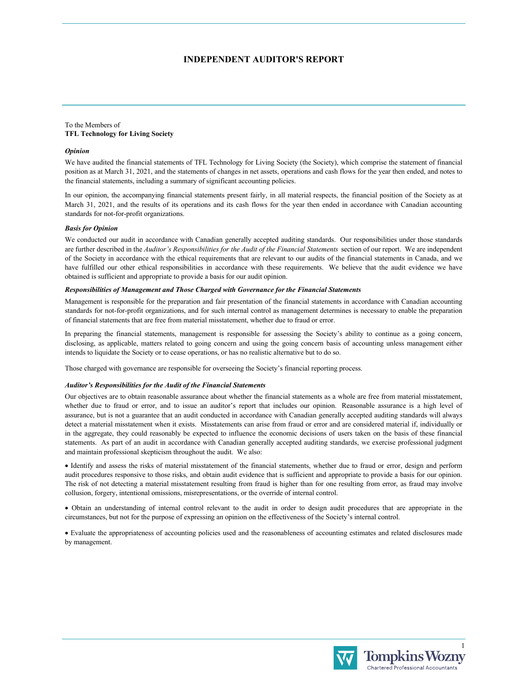#### **INDEPENDENT AUDITOR'S REPORT**

#### To the Members of **TFL Technology for Living Society**

#### *Opinion*

We have audited the financial statements of TFL Technology for Living Society (the Society), which comprise the statement of financial position as at March 31, 2021, and the statements of changes in net assets, operations and cash flows for the year then ended, and notes to the financial statements, including a summary of significant accounting policies.

In our opinion, the accompanying financial statements present fairly, in all material respects, the financial position of the Society as at March 31, 2021, and the results of its operations and its cash flows for the year then ended in accordance with Canadian accounting standards for not-for-profit organizations.

#### *Basis for Opinion*

We conducted our audit in accordance with Canadian generally accepted auditing standards. Our responsibilities under those standards are further described in the *Auditor's Responsibilities for the Audit of the Financial Statements* section of our report. We are independent of the Society in accordance with the ethical requirements that are relevant to our audits of the financial statements in Canada, and we have fulfilled our other ethical responsibilities in accordance with these requirements. We believe that the audit evidence we have obtained is sufficient and appropriate to provide a basis for our audit opinion.

#### *Responsibilities of Management and Those Charged with Governance for the Financial Statements*

Management is responsible for the preparation and fair presentation of the financial statements in accordance with Canadian accounting standards for not-for-profit organizations, and for such internal control as management determines is necessary to enable the preparation of financial statements that are free from material misstatement, whether due to fraud or error.

In preparing the financial statements, management is responsible for assessing the Society's ability to continue as a going concern, disclosing, as applicable, matters related to going concern and using the going concern basis of accounting unless management either intends to liquidate the Society or to cease operations, or has no realistic alternative but to do so.

Those charged with governance are responsible for overseeing the Society's financial reporting process.

#### *Auditor's Responsibilities for the Audit of the Financial Statements*

Our objectives are to obtain reasonable assurance about whether the financial statements as a whole are free from material misstatement, whether due to fraud or error, and to issue an auditor's report that includes our opinion. Reasonable assurance is a high level of assurance, but is not a guarantee that an audit conducted in accordance with Canadian generally accepted auditing standards will always detect a material misstatement when it exists. Misstatements can arise from fraud or error and are considered material if, individually or in the aggregate, they could reasonably be expected to influence the economic decisions of users taken on the basis of these financial statements. As part of an audit in accordance with Canadian generally accepted auditing standards, we exercise professional judgment and maintain professional skepticism throughout the audit. We also:

 Identify and assess the risks of material misstatement of the financial statements, whether due to fraud or error, design and perform audit procedures responsive to those risks, and obtain audit evidence that is sufficient and appropriate to provide a basis for our opinion. The risk of not detecting a material misstatement resulting from fraud is higher than for one resulting from error, as fraud may involve collusion, forgery, intentional omissions, misrepresentations, or the override of internal control.

 Obtain an understanding of internal control relevant to the audit in order to design audit procedures that are appropriate in the circumstances, but not for the purpose of expressing an opinion on the effectiveness of the Society's internal control.

 Evaluate the appropriateness of accounting policies used and the reasonableness of accounting estimates and related disclosures made by management.

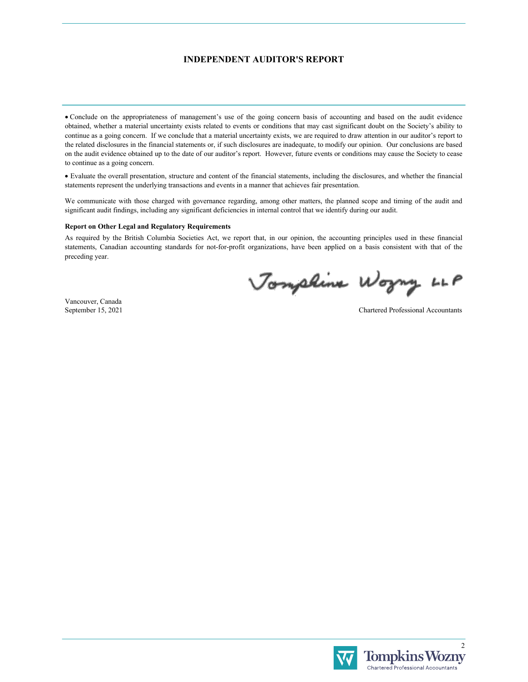### **INDEPENDENT AUDITOR'S REPORT**

 Conclude on the appropriateness of management's use of the going concern basis of accounting and based on the audit evidence obtained, whether a material uncertainty exists related to events or conditions that may cast significant doubt on the Society's ability to continue as a going concern. If we conclude that a material uncertainty exists, we are required to draw attention in our auditor's report to the related disclosures in the financial statements or, if such disclosures are inadequate, to modify our opinion. Our conclusions are based on the audit evidence obtained up to the date of our auditor's report. However, future events or conditions may cause the Society to cease to continue as a going concern.

 Evaluate the overall presentation, structure and content of the financial statements, including the disclosures, and whether the financial statements represent the underlying transactions and events in a manner that achieves fair presentation.

We communicate with those charged with governance regarding, among other matters, the planned scope and timing of the audit and significant audit findings, including any significant deficiencies in internal control that we identify during our audit.

#### **Report on Other Legal and Regulatory Requirements**

As required by the British Columbia Societies Act, we report that, in our opinion, the accounting principles used in these financial statements, Canadian accounting standards for not-for-profit organizations, have been applied on a basis consistent with that of the preceding year.

Jonphine Wogny LLP

Vancouver, Canada September 15, 2021

Chartered Professional Accountants

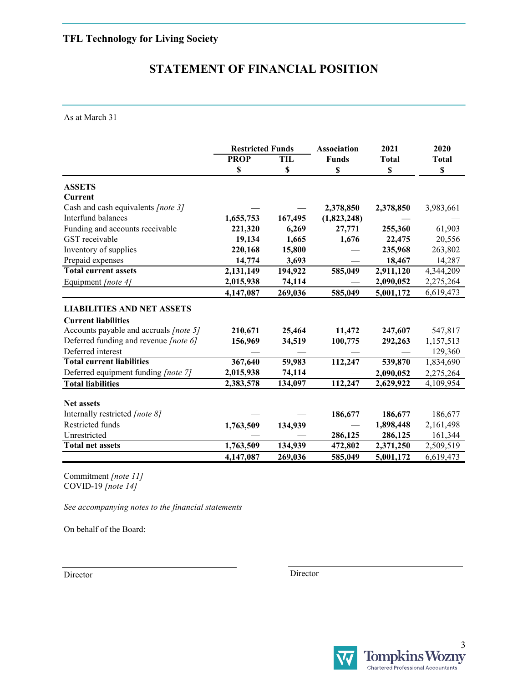# **STATEMENT OF FINANCIAL POSITION**

As at March 31

|                                        | <b>Restricted Funds</b> |         | <b>Association</b> | 2021         | 2020         |
|----------------------------------------|-------------------------|---------|--------------------|--------------|--------------|
|                                        | <b>PROP</b>             | TIL     | <b>Funds</b>       | <b>Total</b> | <b>Total</b> |
|                                        | S                       | S       | \$                 | S            | \$           |
| <b>ASSETS</b>                          |                         |         |                    |              |              |
| Current                                |                         |         |                    |              |              |
| Cash and cash equivalents [note 3]     |                         |         | 2,378,850          | 2,378,850    | 3,983,661    |
| Interfund balances                     | 1,655,753               | 167,495 | (1,823,248)        |              |              |
| Funding and accounts receivable        | 221,320                 | 6,269   | 27,771             | 255,360      | 61,903       |
| GST receivable                         | 19,134                  | 1,665   | 1,676              | 22,475       | 20,556       |
| Inventory of supplies                  | 220,168                 | 15,800  |                    | 235,968      | 263,802      |
| Prepaid expenses                       | 14,774                  | 3,693   |                    | 18,467       | 14,287       |
| <b>Total current assets</b>            | 2,131,149               | 194,922 | 585,049            | 2,911,120    | 4,344,209    |
| Equipment [note 4]                     | 2,015,938               | 74,114  |                    | 2,090,052    | 2,275,264    |
|                                        | 4,147,087               | 269,036 | 585,049            | 5,001,172    | 6,619,473    |
| <b>LIABILITIES AND NET ASSETS</b>      |                         |         |                    |              |              |
| <b>Current liabilities</b>             |                         |         |                    |              |              |
| Accounts payable and accruals [note 5] | 210,671                 | 25,464  | 11,472             | 247,607      | 547,817      |
| Deferred funding and revenue [note 6]  | 156,969                 | 34,519  | 100,775            | 292,263      | 1,157,513    |
| Deferred interest                      |                         |         |                    |              | 129,360      |
| <b>Total current liabilities</b>       | 367,640                 | 59,983  | 112,247            | 539,870      | 1,834,690    |
| Deferred equipment funding [note 7]    | 2,015,938               | 74,114  |                    | 2,090,052    | 2,275,264    |
| <b>Total liabilities</b>               | 2,383,578               | 134,097 | 112,247            | 2,629,922    | 4,109,954    |
|                                        |                         |         |                    |              |              |
| <b>Net assets</b>                      |                         |         |                    |              |              |
| Internally restricted [note 8]         |                         |         | 186,677            | 186,677      | 186,677      |
| Restricted funds                       | 1,763,509               | 134,939 |                    | 1,898,448    | 2,161,498    |
| Unrestricted                           |                         |         | 286,125            | 286,125      | 161,344      |
| <b>Total net assets</b>                | 1,763,509               | 134,939 | 472,802            | 2,371,250    | 2,509,519    |
|                                        | 4,147,087               | 269,036 | 585,049            | 5,001,172    | 6,619,473    |

Commitment *[note 11]* COVID-19 *[note 14]*

*See accompanying notes to the financial statements*

On behalf of the Board:

Director Director

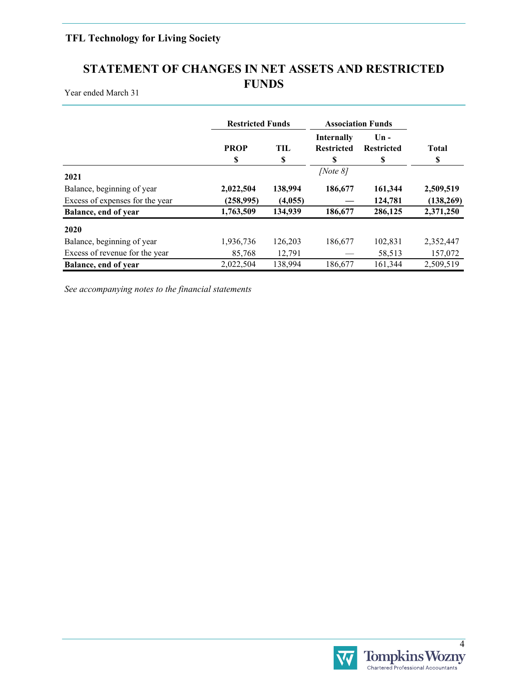# **STATEMENT OF CHANGES IN NET ASSETS AND RESTRICTED FUNDS**

Year ended March 31

|                                 | <b>Restricted Funds</b> |                  | <b>Association Funds</b>                     |                                   |                    |
|---------------------------------|-------------------------|------------------|----------------------------------------------|-----------------------------------|--------------------|
|                                 | <b>PROP</b><br>S        | <b>TIL</b><br>\$ | <b>Internally</b><br><b>Restricted</b><br>\$ | $Un -$<br><b>Restricted</b><br>\$ | <b>Total</b><br>\$ |
| 2021                            |                         |                  | [Note $8$ ]                                  |                                   |                    |
| Balance, beginning of year      | 2,022,504               | 138,994          | 186,677                                      | 161,344                           | 2,509,519          |
| Excess of expenses for the year | (258, 995)              | (4,055)          |                                              | 124,781                           | (138, 269)         |
| Balance, end of year            | 1,763,509               | 134,939          | 186,677                                      | 286,125                           | 2,371,250          |
| 2020                            |                         |                  |                                              |                                   |                    |
| Balance, beginning of year      | 1,936,736               | 126,203          | 186,677                                      | 102,831                           | 2,352,447          |
| Excess of revenue for the year  | 85,768                  | 12,791           |                                              | 58,513                            | 157,072            |
| Balance, end of year            | 2,022,504               | 138,994          | 186,677                                      | 161,344                           | 2,509,519          |

*See accompanying notes to the financial statements*

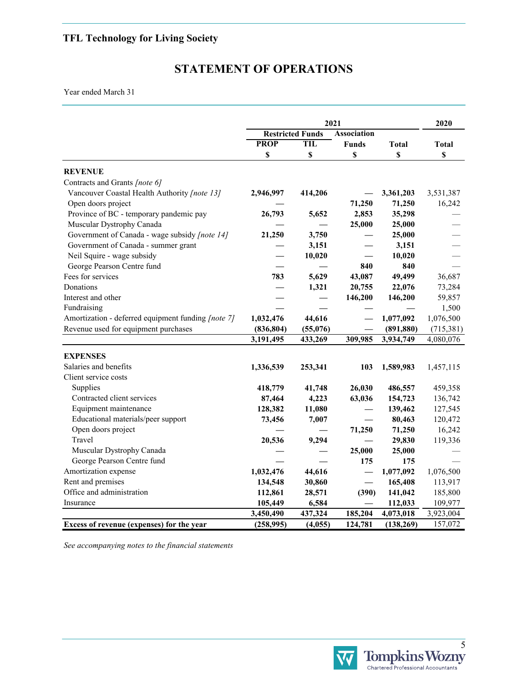# **STATEMENT OF OPERATIONS**

Year ended March 31

|                                                    | 2021                                          |          |                 |              | 2020         |
|----------------------------------------------------|-----------------------------------------------|----------|-----------------|--------------|--------------|
|                                                    | <b>Association</b><br><b>Restricted Funds</b> |          |                 |              |              |
|                                                    | <b>PROP</b>                                   | TIL      | <b>Funds</b>    | <b>Total</b> | <b>Total</b> |
|                                                    | \$                                            | \$       | \$              | \$           | \$           |
| <b>REVENUE</b>                                     |                                               |          |                 |              |              |
| Contracts and Grants [note 6]                      |                                               |          |                 |              |              |
| Vancouver Coastal Health Authority [note 13]       | 2,946,997                                     | 414,206  |                 | 3,361,203    | 3,531,387    |
| Open doors project                                 |                                               |          | 71,250          | 71,250       | 16,242       |
| Province of BC - temporary pandemic pay            | 26,793                                        | 5,652    | 2,853           | 35,298       |              |
| Muscular Dystrophy Canada                          |                                               |          | 25,000          | 25,000       |              |
| Government of Canada - wage subsidy [note 14]      | 21,250                                        | 3,750    |                 | 25,000       |              |
| Government of Canada - summer grant                |                                               | 3,151    |                 | 3,151        |              |
| Neil Squire - wage subsidy                         |                                               | 10,020   |                 | 10,020       |              |
| George Pearson Centre fund                         |                                               |          | 840             | 840          |              |
| Fees for services                                  | 783                                           | 5,629    | 43,087          | 49,499       | 36,687       |
| Donations                                          |                                               | 1,321    | 20,755          | 22,076       | 73,284       |
| Interest and other                                 |                                               |          |                 | 146,200      | 59,857       |
|                                                    |                                               |          | 146,200         |              |              |
| Fundraising                                        |                                               |          |                 |              | 1,500        |
| Amortization - deferred equipment funding [note 7] | 1,032,476                                     | 44,616   |                 | 1,077,092    | 1,076,500    |
| Revenue used for equipment purchases               | (836, 804)                                    | (55,076) |                 | (891, 880)   | (715,381)    |
|                                                    | 3,191,495                                     | 433,269  | 309,985         | 3,934,749    | 4,080,076    |
| <b>EXPENSES</b>                                    |                                               |          |                 |              |              |
| Salaries and benefits                              | 1,336,539                                     | 253,341  | 103             | 1,589,983    | 1,457,115    |
| Client service costs                               |                                               |          |                 |              |              |
| Supplies                                           | 418,779                                       | 41,748   | 26,030          | 486,557      | 459,358      |
| Contracted client services                         | 87,464                                        | 4,223    | 63,036          | 154,723      | 136,742      |
| Equipment maintenance                              | 128,382                                       | 11,080   |                 | 139,462      | 127,545      |
| Educational materials/peer support                 | 73,456                                        | 7,007    |                 | 80,463       | 120,472      |
| Open doors project                                 |                                               |          | 71,250          | 71,250       | 16,242       |
| Travel                                             | 20,536                                        | 9,294    |                 | 29,830       | 119,336      |
| Muscular Dystrophy Canada                          |                                               |          | 25,000          | 25,000       |              |
| George Pearson Centre fund                         |                                               |          | 175             | 175          |              |
| Amortization expense                               | 1,032,476                                     | 44,616   |                 | 1,077,092    | 1,076,500    |
| Rent and premises                                  | 134,548                                       | 30,860   | $\qquad \qquad$ | 165,408      | 113,917      |
| Office and administration                          | 112,861                                       | 28,571   | (390)           | 141,042      | 185,800      |
| Insurance                                          | 105,449                                       | 6,584    |                 | 112,033      | 109,977      |
|                                                    | 3,450,490                                     | 437,324  | 185,204         | 4,073,018    | 3,923,004    |
| Excess of revenue (expenses) for the year          | (258,995)                                     | (4,055)  | 124,781         | (138, 269)   | 157,072      |
|                                                    |                                               |          |                 |              |              |

*See accompanying notes to the financial statements*

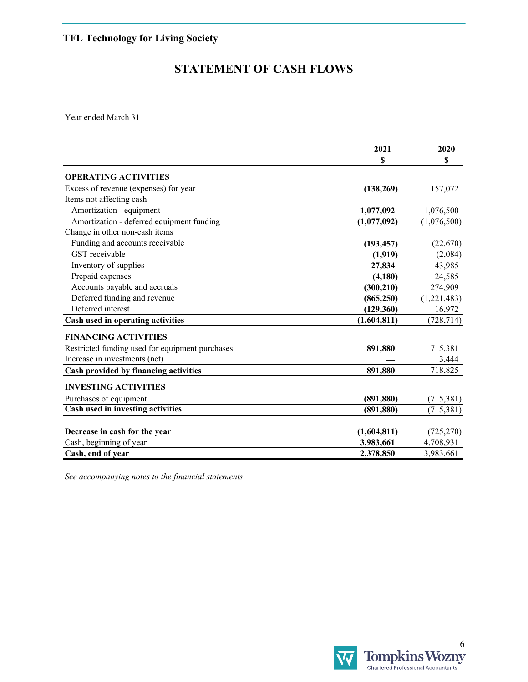# **STATEMENT OF CASH FLOWS**

Year ended March 31

|                                                 | 2021<br>\$  | 2020<br>\$  |
|-------------------------------------------------|-------------|-------------|
| <b>OPERATING ACTIVITIES</b>                     |             |             |
| Excess of revenue (expenses) for year           | (138, 269)  | 157,072     |
| Items not affecting cash                        |             |             |
| Amortization - equipment                        | 1,077,092   | 1,076,500   |
| Amortization - deferred equipment funding       | (1,077,092) | (1,076,500) |
| Change in other non-cash items                  |             |             |
| Funding and accounts receivable                 | (193, 457)  | (22,670)    |
| GST receivable                                  | (1,919)     | (2,084)     |
| Inventory of supplies                           | 27,834      | 43,985      |
| Prepaid expenses                                | (4,180)     | 24,585      |
| Accounts payable and accruals                   | (300, 210)  | 274,909     |
| Deferred funding and revenue                    | (865, 250)  | (1,221,483) |
| Deferred interest                               | (129, 360)  | 16,972      |
| Cash used in operating activities               | (1,604,811) | (728, 714)  |
| <b>FINANCING ACTIVITIES</b>                     |             |             |
| Restricted funding used for equipment purchases | 891,880     | 715,381     |
| Increase in investments (net)                   |             | 3,444       |
| Cash provided by financing activities           | 891,880     | 718,825     |
| <b>INVESTING ACTIVITIES</b>                     |             |             |
| Purchases of equipment                          | (891, 880)  | (715,381)   |
| Cash used in investing activities               | (891, 880)  | (715,381)   |
|                                                 |             |             |
| Decrease in cash for the year                   | (1,604,811) | (725, 270)  |
| Cash, beginning of year                         | 3,983,661   | 4,708,931   |
| Cash, end of year                               | 2,378,850   | 3,983,661   |

*See accompanying notes to the financial statements*

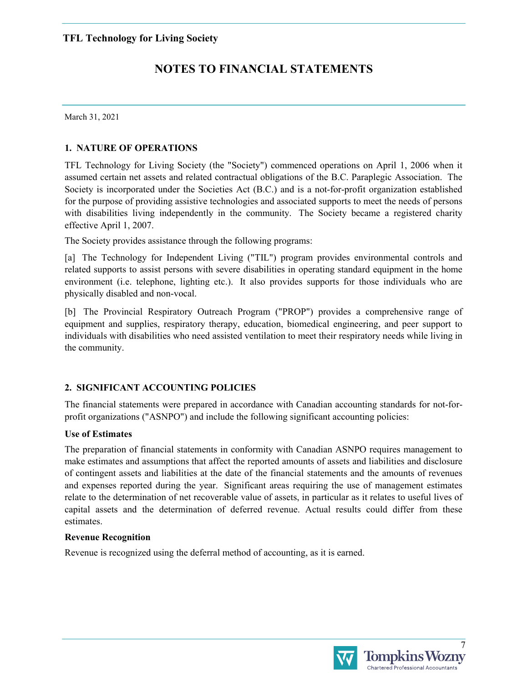March 31, 2021

## **1. NATURE OF OPERATIONS**

TFL Technology for Living Society (the "Society") commenced operations on April 1, 2006 when it assumed certain net assets and related contractual obligations of the B.C. Paraplegic Association. The Society is incorporated under the Societies Act (B.C.) and is a not-for-profit organization established for the purpose of providing assistive technologies and associated supports to meet the needs of persons with disabilities living independently in the community. The Society became a registered charity effective April 1, 2007.

The Society provides assistance through the following programs:

[a] The Technology for Independent Living ("TIL") program provides environmental controls and related supports to assist persons with severe disabilities in operating standard equipment in the home environment (i.e. telephone, lighting etc.). It also provides supports for those individuals who are physically disabled and non-vocal.

[b] The Provincial Respiratory Outreach Program ("PROP") provides a comprehensive range of equipment and supplies, respiratory therapy, education, biomedical engineering, and peer support to individuals with disabilities who need assisted ventilation to meet their respiratory needs while living in the community.

# **2. SIGNIFICANT ACCOUNTING POLICIES**

The financial statements were prepared in accordance with Canadian accounting standards for not-forprofit organizations ("ASNPO") and include the following significant accounting policies:

### **Use of Estimates**

The preparation of financial statements in conformity with Canadian ASNPO requires management to make estimates and assumptions that affect the reported amounts of assets and liabilities and disclosure of contingent assets and liabilities at the date of the financial statements and the amounts of revenues and expenses reported during the year. Significant areas requiring the use of management estimates relate to the determination of net recoverable value of assets, in particular as it relates to useful lives of capital assets and the determination of deferred revenue. Actual results could differ from these estimates.

### **Revenue Recognition**

Revenue is recognized using the deferral method of accounting, as it is earned.



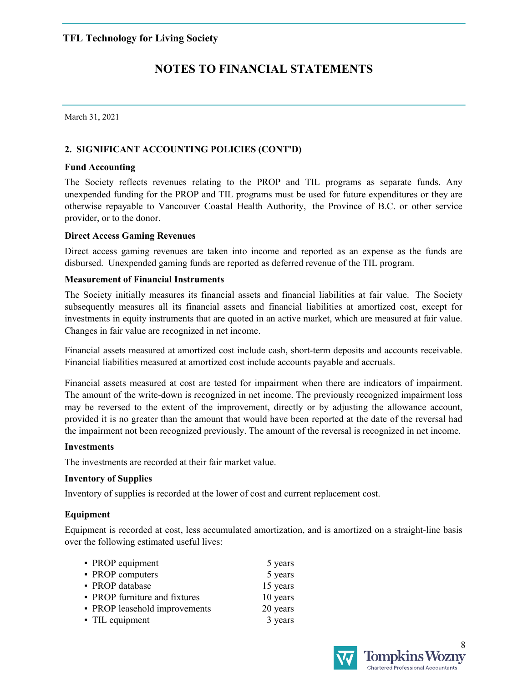March 31, 2021

# **2. SIGNIFICANT ACCOUNTING POLICIES (CONT'D)**

### **Fund Accounting**

The Society reflects revenues relating to the PROP and TIL programs as separate funds. Any unexpended funding for the PROP and TIL programs must be used for future expenditures or they are otherwise repayable to Vancouver Coastal Health Authority, the Province of B.C. or other service provider, or to the donor.

## **Direct Access Gaming Revenues**

Direct access gaming revenues are taken into income and reported as an expense as the funds are disbursed. Unexpended gaming funds are reported as deferred revenue of the TIL program.

## **Measurement of Financial Instruments**

The Society initially measures its financial assets and financial liabilities at fair value. The Society subsequently measures all its financial assets and financial liabilities at amortized cost, except for investments in equity instruments that are quoted in an active market, which are measured at fair value. Changes in fair value are recognized in net income.

Financial assets measured at amortized cost include cash, short-term deposits and accounts receivable. Financial liabilities measured at amortized cost include accounts payable and accruals.

Financial assets measured at cost are tested for impairment when there are indicators of impairment. The amount of the write-down is recognized in net income. The previously recognized impairment loss may be reversed to the extent of the improvement, directly or by adjusting the allowance account, provided it is no greater than the amount that would have been reported at the date of the reversal had the impairment not been recognized previously. The amount of the reversal is recognized in net income.

### **Investments**

The investments are recorded at their fair market value.

### **Inventory of Supplies**

Inventory of supplies is recorded at the lower of cost and current replacement cost.

# **Equipment**

Equipment is recorded at cost, less accumulated amortization, and is amortized on a straight-line basis over the following estimated useful lives:

| • PROP equipment              | 5 years  |
|-------------------------------|----------|
| • PROP computers              | 5 years  |
| • PROP database               | 15 years |
| • PROP furniture and fixtures | 10 years |
| • PROP leasehold improvements | 20 years |
| • TIL equipment               | 3 years  |

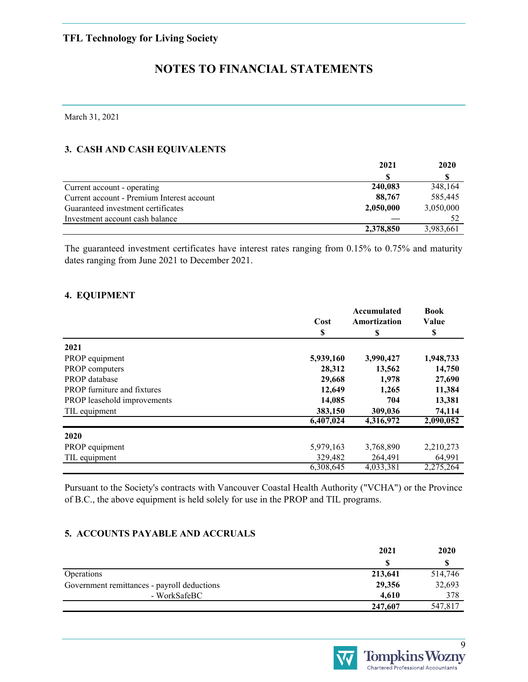# **NOTES TO FINANCIAL STATEMENTS**

March 31, 2021

# **3. CASH AND CASH EQUIVALENTS**

|                                            | 2021      | 2020      |
|--------------------------------------------|-----------|-----------|
|                                            | \$.       |           |
| Current account - operating                | 240,083   | 348,164   |
| Current account - Premium Interest account | 88,767    | 585,445   |
| Guaranteed investment certificates         | 2,050,000 | 3,050,000 |
| Investment account cash balance            |           |           |
|                                            | 2,378,850 | 3,983,661 |

The guaranteed investment certificates have interest rates ranging from 0.15% to 0.75% and maturity dates ranging from June 2021 to December 2021.

## **4. EQUIPMENT**

|                                    |           | Accumulated  | <b>Book</b> |
|------------------------------------|-----------|--------------|-------------|
|                                    | Cost      | Amortization | Value       |
|                                    | \$        | \$           | \$          |
| 2021                               |           |              |             |
| PROP equipment                     | 5,939,160 | 3,990,427    | 1,948,733   |
| PROP computers                     | 28,312    | 13,562       | 14,750      |
| PROP database                      | 29,668    | 1,978        | 27,690      |
| <b>PROP</b> furniture and fixtures | 12,649    | 1,265        | 11,384      |
| PROP leasehold improvements        | 14,085    | 704          | 13,381      |
| TIL equipment                      | 383,150   | 309,036      | 74,114      |
|                                    | 6,407,024 | 4,316,972    | 2,090,052   |
| 2020                               |           |              |             |
| PROP equipment                     | 5,979,163 | 3,768,890    | 2,210,273   |
| TIL equipment                      | 329,482   | 264,491      | 64,991      |
|                                    | 6,308,645 | 4,033,381    | 2,275,264   |

Pursuant to the Society's contracts with Vancouver Coastal Health Authority ("VCHA") or the Province of B.C., the above equipment is held solely for use in the PROP and TIL programs.

### **5. ACCOUNTS PAYABLE AND ACCRUALS**

|                                             | 2021    | 2020    |
|---------------------------------------------|---------|---------|
|                                             | S.      |         |
| Operations                                  | 213,641 | 514,746 |
| Government remittances - payroll deductions | 29,356  | 32,693  |
| - WorkSafeBC                                | 4.610   | 378     |
|                                             | 247,607 | 547,817 |

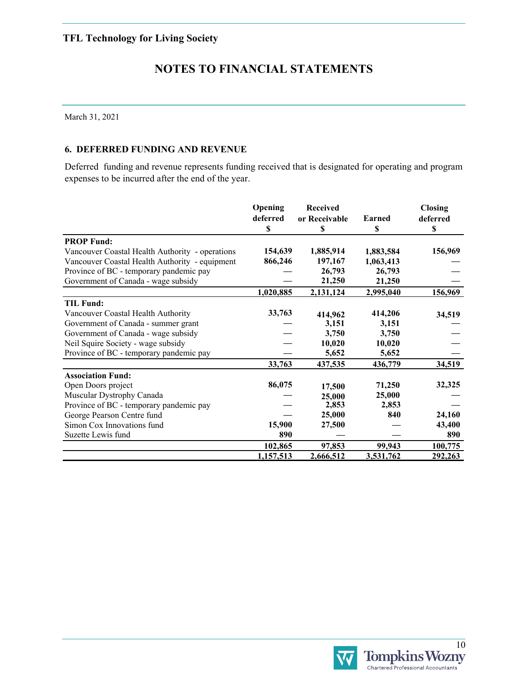# **NOTES TO FINANCIAL STATEMENTS**

March 31, 2021

### **6. DEFERRED FUNDING AND REVENUE**

Deferred funding and revenue represents funding received that is designated for operating and program expenses to be incurred after the end of the year.

|                                                 | Opening<br>deferred<br>\$ | <b>Received</b><br>or Receivable<br>\$ | Earned<br>\$ | <b>Closing</b><br>deferred<br>\$ |
|-------------------------------------------------|---------------------------|----------------------------------------|--------------|----------------------------------|
| <b>PROP Fund:</b>                               |                           |                                        |              |                                  |
| Vancouver Coastal Health Authority - operations | 154,639                   | 1,885,914                              | 1,883,584    | 156,969                          |
| Vancouver Coastal Health Authority - equipment  | 866,246                   | 197,167                                | 1,063,413    |                                  |
| Province of BC - temporary pandemic pay         |                           | 26,793                                 | 26,793       |                                  |
| Government of Canada - wage subsidy             |                           | 21,250                                 | 21,250       |                                  |
|                                                 | 1,020,885                 | 2,131,124                              | 2,995,040    | 156,969                          |
| <b>TIL Fund:</b>                                |                           |                                        |              |                                  |
| Vancouver Coastal Health Authority              | 33,763                    | 414,962                                | 414,206      | 34,519                           |
| Government of Canada - summer grant             |                           | 3,151                                  | 3,151        |                                  |
| Government of Canada - wage subsidy             |                           | 3,750                                  | 3,750        |                                  |
| Neil Squire Society - wage subsidy              |                           | 10,020                                 | 10,020       |                                  |
| Province of BC - temporary pandemic pay         |                           | 5,652                                  | 5,652        |                                  |
|                                                 | 33,763                    | 437,535                                | 436,779      | 34,519                           |
| <b>Association Fund:</b>                        |                           |                                        |              |                                  |
| Open Doors project                              | 86,075                    | 17,500                                 | 71,250       | 32,325                           |
| Muscular Dystrophy Canada                       |                           | 25,000                                 | 25,000       |                                  |
| Province of BC - temporary pandemic pay         |                           | 2,853                                  | 2,853        |                                  |
| George Pearson Centre fund                      |                           | 25,000                                 | 840          | 24,160                           |
| Simon Cox Innovations fund                      | 15,900                    | 27,500                                 |              | 43,400                           |
| Suzette Lewis fund                              | 890                       |                                        |              | 890                              |
|                                                 | 102,865                   | 97,853                                 | 99,943       | 100,775                          |
|                                                 | 1,157,513                 | 2,666,512                              | 3,531,762    | 292,263                          |

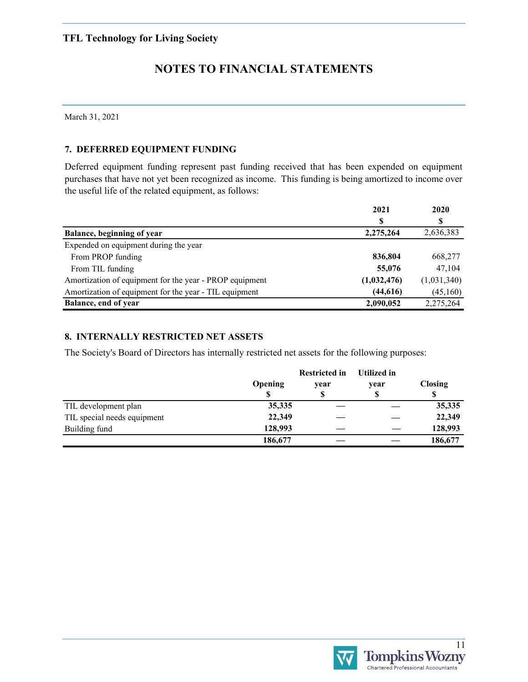# **NOTES TO FINANCIAL STATEMENTS**

March 31, 2021

### **7. DEFERRED EQUIPMENT FUNDING**

Deferred equipment funding represent past funding received that has been expended on equipment purchases that have not yet been recognized as income. This funding is being amortized to income over the useful life of the related equipment, as follows:

|                                                         | 2021        | 2020        |
|---------------------------------------------------------|-------------|-------------|
|                                                         | S           | S           |
| Balance, beginning of year                              | 2,275,264   | 2,636,383   |
| Expended on equipment during the year                   |             |             |
| From PROP funding                                       | 836,804     | 668,277     |
| From TIL funding                                        | 55,076      | 47,104      |
| Amortization of equipment for the year - PROP equipment | (1,032,476) | (1,031,340) |
| Amortization of equipment for the year - TIL equipment  | (44, 616)   | (45,160)    |
| Balance, end of year                                    | 2,090,052   | 2,275,264   |

## **8. INTERNALLY RESTRICTED NET ASSETS**

The Society's Board of Directors has internally restricted net assets for the following purposes:

|                             |                | <b>Restricted in</b> | Utilized in |                |
|-----------------------------|----------------|----------------------|-------------|----------------|
|                             | <b>Opening</b> | year                 | year        | <b>Closing</b> |
|                             | S              | \$                   | Φ           |                |
| TIL development plan        | 35,335         |                      |             | 35,335         |
| TIL special needs equipment | 22,349         |                      |             | 22,349         |
| Building fund               | 128,993        |                      |             | 128,993        |
|                             | 186,677        |                      |             | 186,677        |

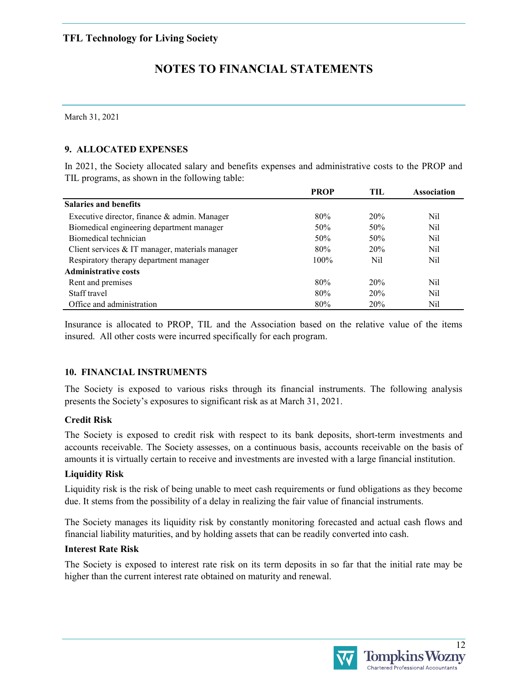March 31, 2021

# **9. ALLOCATED EXPENSES**

In 2021, the Society allocated salary and benefits expenses and administrative costs to the PROP and TIL programs, as shown in the following table:

|                                                 | <b>PROP</b> | TIL        | <b>Association</b> |
|-------------------------------------------------|-------------|------------|--------------------|
| <b>Salaries and benefits</b>                    |             |            |                    |
| Executive director, finance & admin. Manager    | 80%         | <b>20%</b> | Nil                |
| Biomedical engineering department manager       | 50%         | 50%        | Nil                |
| Biomedical technician                           | 50%         | 50%        | Nil                |
| Client services & IT manager, materials manager | 80%         | 20%        | Nil                |
| Respiratory therapy department manager          | 100%        | Nil        | Nil                |
| <b>Administrative costs</b>                     |             |            |                    |
| Rent and premises                               | 80%         | <b>20%</b> | Nil                |
| Staff travel                                    | 80%         | 20%        | Nil                |
| Office and administration                       | 80%         | 20%        | Nil                |

Insurance is allocated to PROP, TIL and the Association based on the relative value of the items insured. All other costs were incurred specifically for each program.

### **10. FINANCIAL INSTRUMENTS**

The Society is exposed to various risks through its financial instruments. The following analysis presents the Society's exposures to significant risk as at March 31, 2021.

### **Credit Risk**

The Society is exposed to credit risk with respect to its bank deposits, short-term investments and accounts receivable. The Society assesses, on a continuous basis, accounts receivable on the basis of amounts it is virtually certain to receive and investments are invested with a large financial institution.

### **Liquidity Risk**

Liquidity risk is the risk of being unable to meet cash requirements or fund obligations as they become due. It stems from the possibility of a delay in realizing the fair value of financial instruments.

The Society manages its liquidity risk by constantly monitoring forecasted and actual cash flows and financial liability maturities, and by holding assets that can be readily converted into cash.

### **Interest Rate Risk**

The Society is exposed to interest rate risk on its term deposits in so far that the initial rate may be higher than the current interest rate obtained on maturity and renewal.